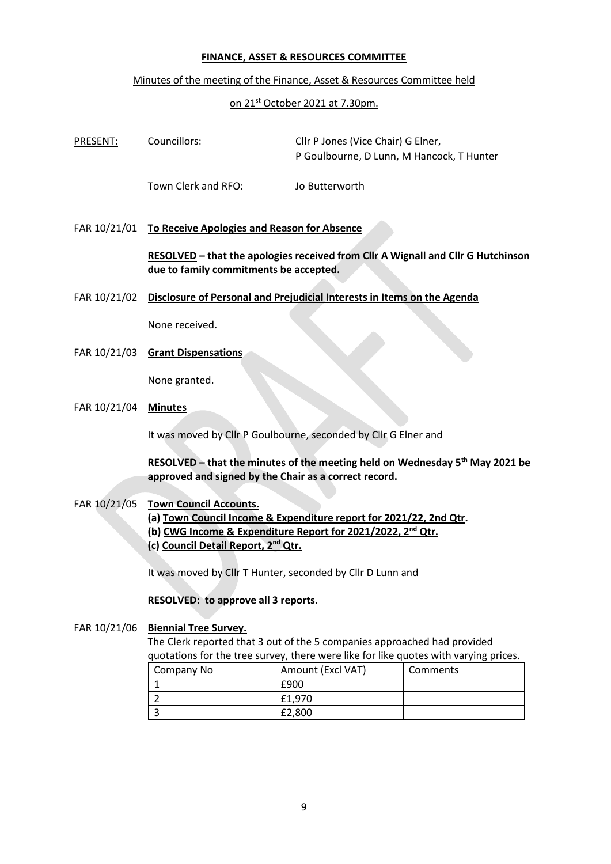# **FINANCE, ASSET & RESOURCES COMMITTEE**

# Minutes of the meeting of the Finance, Asset & Resources Committee held

# on 21st October 2021 at 7.30pm.

| PRESENT:     | Councillors:                                                                                                                                   | Cllr P Jones (Vice Chair) G Elner,<br>P Goulbourne, D Lunn, M Hancock, T Hunter |          |  |  |
|--------------|------------------------------------------------------------------------------------------------------------------------------------------------|---------------------------------------------------------------------------------|----------|--|--|
|              | Town Clerk and RFO:                                                                                                                            | Jo Butterworth                                                                  |          |  |  |
|              | FAR 10/21/01 To Receive Apologies and Reason for Absence                                                                                       |                                                                                 |          |  |  |
|              | RESOLVED - that the apologies received from Cllr A Wignall and Cllr G Hutchinson<br>due to family commitments be accepted.                     |                                                                                 |          |  |  |
|              | FAR 10/21/02 Disclosure of Personal and Prejudicial Interests in Items on the Agenda                                                           |                                                                                 |          |  |  |
|              | None received.                                                                                                                                 |                                                                                 |          |  |  |
|              | FAR 10/21/03 Grant Dispensations                                                                                                               |                                                                                 |          |  |  |
|              | None granted.                                                                                                                                  |                                                                                 |          |  |  |
| FAR 10/21/04 | <b>Minutes</b><br>It was moved by Cllr P Goulbourne, seconded by Cllr G Elner and                                                              |                                                                                 |          |  |  |
|              |                                                                                                                                                |                                                                                 |          |  |  |
|              | <b>RESOLVED</b> – that the minutes of the meeting held on Wednesday $5th$ May 2021 be<br>approved and signed by the Chair as a correct record. |                                                                                 |          |  |  |
|              |                                                                                                                                                |                                                                                 |          |  |  |
| FAR 10/21/05 | <b>Town Council Accounts.</b><br>(a) Town Council Income & Expenditure report for 2021/22, 2nd Qtr.                                            |                                                                                 |          |  |  |
|              | (b) CWG Income & Expenditure Report for 2021/2022, 2 <sup>nd</sup> Qtr.<br>(c) Council Detail Report, 2 <sup>nd</sup> Qtr.                     |                                                                                 |          |  |  |
|              |                                                                                                                                                |                                                                                 |          |  |  |
|              | It was moved by Cllr T Hunter, seconded by Cllr D Lunn and<br>RESOLVED: to approve all 3 reports.                                              |                                                                                 |          |  |  |
|              |                                                                                                                                                |                                                                                 |          |  |  |
|              |                                                                                                                                                |                                                                                 |          |  |  |
| FAR 10/21/06 | <b>Biennial Tree Survey.</b>                                                                                                                   |                                                                                 |          |  |  |
|              | The Clerk reported that 3 out of the 5 companies approached had provided                                                                       |                                                                                 |          |  |  |
|              | quotations for the tree survey, there were like for like quotes with varying prices.                                                           |                                                                                 |          |  |  |
|              | Company No<br>1                                                                                                                                | Amount (Excl VAT)<br>£900                                                       | Comments |  |  |
|              | $\overline{2}$                                                                                                                                 | £1,970                                                                          |          |  |  |
|              |                                                                                                                                                |                                                                                 |          |  |  |

 $\frac{1}{2}$   $\frac{1}{2}$   $\frac{2}{3}$   $\frac{1}{2}$   $\frac{2}{3}$   $\frac{2}{3}$   $\frac{1}{2}$   $\frac{2}{3}$   $\frac{1}{2}$   $\frac{2}{3}$   $\frac{1}{2}$   $\frac{2}{3}$   $\frac{1}{2}$   $\frac{1}{2}$   $\frac{1}{2}$   $\frac{1}{2}$   $\frac{1}{2}$   $\frac{1}{2}$   $\frac{1}{2}$   $\frac{1}{2}$   $\frac{1}{2}$   $\frac{1}{2}$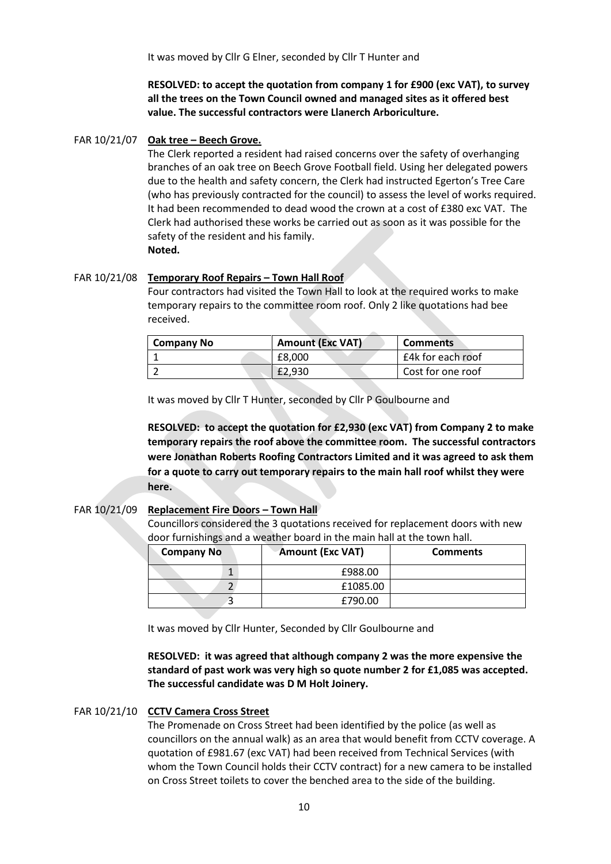It was moved by Cllr G Elner, seconded by Cllr T Hunter and

**RESOLVED: to accept the quotation from company 1 for £900 (exc VAT), to survey all the trees on the Town Council owned and managed sites as it offered best value. The successful contractors were Llanerch Arboriculture.**

### FAR 10/21/07 **Oak tree – Beech Grove.**

The Clerk reported a resident had raised concerns over the safety of overhanging branches of an oak tree on Beech Grove Football field. Using her delegated powers due to the health and safety concern, the Clerk had instructed Egerton's Tree Care (who has previously contracted for the council) to assess the level of works required. It had been recommended to dead wood the crown at a cost of £380 exc VAT. The Clerk had authorised these works be carried out as soon as it was possible for the safety of the resident and his family. **Noted.**

#### FAR 10/21/08 **Temporary Roof Repairs – Town Hall Roof**

Four contractors had visited the Town Hall to look at the required works to make temporary repairs to the committee room roof. Only 2 like quotations had bee received.

| <b>Company No</b> | <b>Amount (Exc VAT)</b> | <b>Comments</b>   |
|-------------------|-------------------------|-------------------|
|                   | £8,000                  | £4k for each roof |
|                   | £2.930                  | Cost for one roof |

It was moved by Cllr T Hunter, seconded by Cllr P Goulbourne and

**RESOLVED: to accept the quotation for £2,930 (exc VAT) from Company 2 to make temporary repairs the roof above the committee room. The successful contractors were Jonathan Roberts Roofing Contractors Limited and it was agreed to ask them for a quote to carry out temporary repairs to the main hall roof whilst they were here.**

# **FAR 10/21/09 Replacement Fire Doors - Town Hall**

Councillors considered the 3 quotations received for replacement doors with new door furnishings and a weather board in the main hall at the town hall.

| Company No | <b>Amount (Exc VAT)</b> | <b>Comments</b> |
|------------|-------------------------|-----------------|
|            | £988.00                 |                 |
|            | £1085.00                |                 |
|            | £790.00                 |                 |

It was moved by Cllr Hunter, Seconded by Cllr Goulbourne and

## **RESOLVED: it was agreed that although company 2 was the more expensive the standard of past work was very high so quote number 2 for £1,085 was accepted. The successful candidate was D M Holt Joinery.**

#### FAR 10/21/10 **CCTV Camera Cross Street**

The Promenade on Cross Street had been identified by the police (as well as councillors on the annual walk) as an area that would benefit from CCTV coverage. A quotation of £981.67 (exc VAT) had been received from Technical Services (with whom the Town Council holds their CCTV contract) for a new camera to be installed on Cross Street toilets to cover the benched area to the side of the building.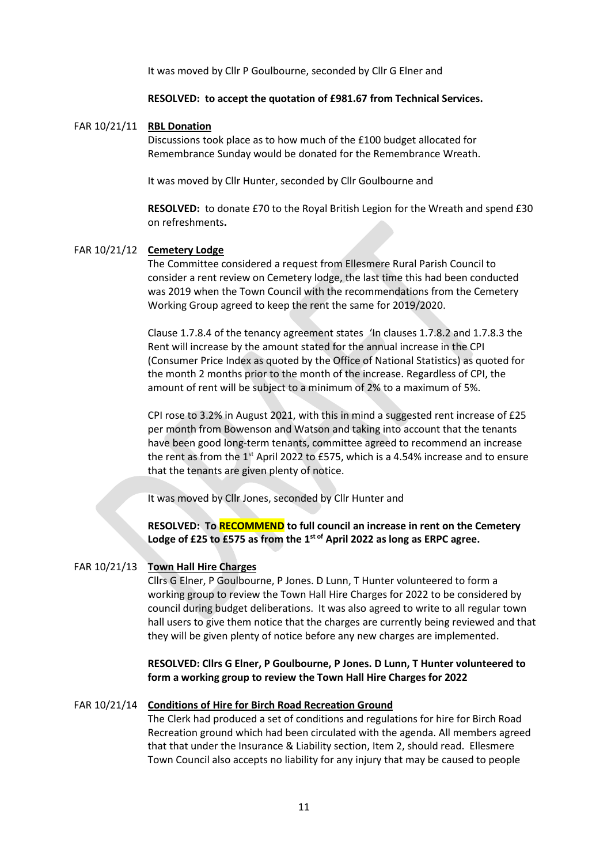It was moved by Cllr P Goulbourne, seconded by Cllr G Elner and

#### **RESOLVED: to accept the quotation of £981.67 from Technical Services.**

#### FAR 10/21/11 **RBL Donation**

Discussions took place as to how much of the £100 budget allocated for Remembrance Sunday would be donated for the Remembrance Wreath.

It was moved by Cllr Hunter, seconded by Cllr Goulbourne and

**RESOLVED:** to donate £70 to the Royal British Legion for the Wreath and spend £30 on refreshments**.**

#### FAR 10/21/12 **Cemetery Lodge**

The Committee considered a request from Ellesmere Rural Parish Council to consider a rent review on Cemetery lodge, the last time this had been conducted was 2019 when the Town Council with the recommendations from the Cemetery Working Group agreed to keep the rent the same for 2019/2020.

Clause 1.7.8.4 of the tenancy agreement states 'In clauses 1.7.8.2 and 1.7.8.3 the Rent will increase by the amount stated for the annual increase in the CPI (Consumer Price Index as quoted by the Office of National Statistics) as quoted for the month 2 months prior to the month of the increase. Regardless of CPI, the amount of rent will be subject to a minimum of 2% to a maximum of 5%.

CPI rose to 3.2% in August 2021, with this in mind a suggested rent increase of £25 per month from Bowenson and Watson and taking into account that the tenants have been good long-term tenants, committee agreed to recommend an increase the rent as from the 1st April 2022 to £575, which is a 4.54% increase and to ensure that the tenants are given plenty of notice.

It was moved by Cllr Jones, seconded by Cllr Hunter and

## **RESOLVED: To RECOMMEND to full council an increase in rent on the Cemetery Lodge of £25 to £575 as from the 1 st of April 2022 as long as ERPC agree.**

## FAR 10/21/13 **Town Hall Hire Charges**

Cllrs G Elner, P Goulbourne, P Jones. D Lunn, T Hunter volunteered to form a working group to review the Town Hall Hire Charges for 2022 to be considered by council during budget deliberations. It was also agreed to write to all regular town hall users to give them notice that the charges are currently being reviewed and that they will be given plenty of notice before any new charges are implemented.

### **RESOLVED: Cllrs G Elner, P Goulbourne, P Jones. D Lunn, T Hunter volunteered to form a working group to review the Town Hall Hire Charges for 2022**

### FAR 10/21/14 **Conditions of Hire for Birch Road Recreation Ground**

The Clerk had produced a set of conditions and regulations for hire for Birch Road Recreation ground which had been circulated with the agenda. All members agreed that that under the Insurance & Liability section, Item 2, should read. Ellesmere Town Council also accepts no liability for any injury that may be caused to people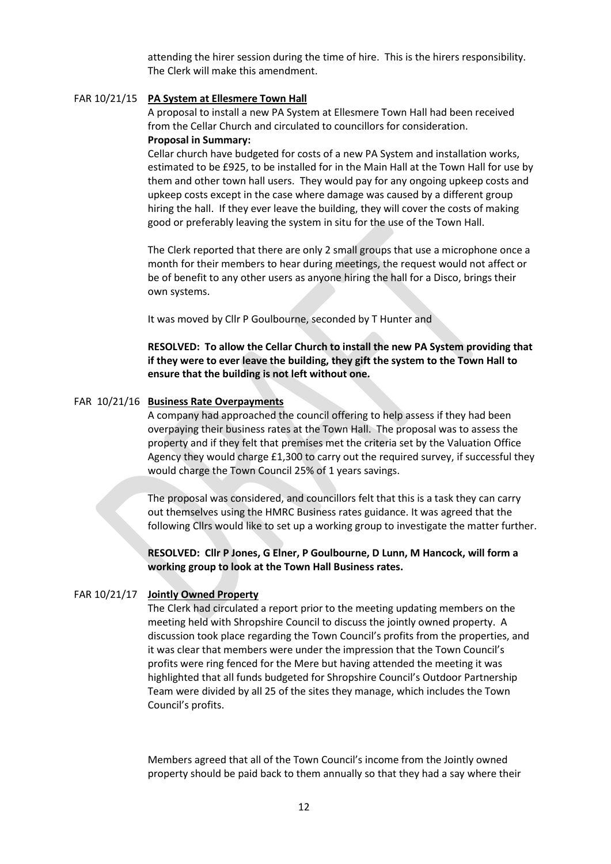attending the hirer session during the time of hire. This is the hirers responsibility. The Clerk will make this amendment.

### FAR 10/21/15 **PA System at Ellesmere Town Hall**

A proposal to install a new PA System at Ellesmere Town Hall had been received from the Cellar Church and circulated to councillors for consideration. **Proposal in Summary:**

Cellar church have budgeted for costs of a new PA System and installation works, estimated to be £925, to be installed for in the Main Hall at the Town Hall for use by them and other town hall users. They would pay for any ongoing upkeep costs and upkeep costs except in the case where damage was caused by a different group hiring the hall. If they ever leave the building, they will cover the costs of making good or preferably leaving the system in situ for the use of the Town Hall.

The Clerk reported that there are only 2 small groups that use a microphone once a month for their members to hear during meetings, the request would not affect or be of benefit to any other users as anyone hiring the hall for a Disco, brings their own systems.

It was moved by Cllr P Goulbourne, seconded by T Hunter and

**RESOLVED: To allow the Cellar Church to install the new PA System providing that if they were to ever leave the building, they gift the system to the Town Hall to ensure that the building is not left without one.**

### FAR 10/21/16 **Business Rate Overpayments**

A company had approached the council offering to help assess if they had been overpaying their business rates at the Town Hall. The proposal was to assess the property and if they felt that premises met the criteria set by the Valuation Office Agency they would charge £1,300 to carry out the required survey, if successful they would charge the Town Council 25% of 1 years savings.

The proposal was considered, and councillors felt that this is a task they can carry out themselves using the HMRC Business rates guidance. It was agreed that the following Cllrs would like to set up a working group to investigate the matter further.

**RESOLVED: Cllr P Jones, G Elner, P Goulbourne, D Lunn, M Hancock, will form a working group to look at the Town Hall Business rates.**

#### FAR 10/21/17 **Jointly Owned Property**

The Clerk had circulated a report prior to the meeting updating members on the meeting held with Shropshire Council to discuss the jointly owned property. A discussion took place regarding the Town Council's profits from the properties, and it was clear that members were under the impression that the Town Council's profits were ring fenced for the Mere but having attended the meeting it was highlighted that all funds budgeted for Shropshire Council's Outdoor Partnership Team were divided by all 25 of the sites they manage, which includes the Town Council's profits.

Members agreed that all of the Town Council's income from the Jointly owned property should be paid back to them annually so that they had a say where their